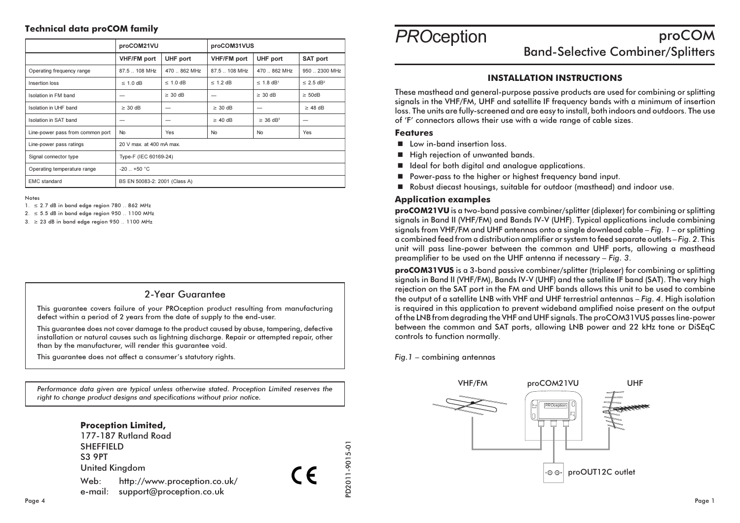### **Technical data proCOM family**

|                                  | proCOM21VU                    |               | proCOM31VUS        |                            |                            |
|----------------------------------|-------------------------------|---------------|--------------------|----------------------------|----------------------------|
|                                  | <b>VHF/FM</b> port            | UHF port      | <b>VHF/FM</b> port | UHF port                   | SAT port                   |
| Operating frequency range        | 87.5  108 MHz                 | 470  862 MHz  | 87.5  108 MHz      | 470  862 MHz               | 950  2300 MHz              |
| Insertion loss                   | $\leq 1.0$ dB                 | $\leq 1.0$ dB | $\leq$ 1.2 dB      | $\leq$ 1.8 dB <sup>1</sup> | $\leq$ 2.5 dB <sup>2</sup> |
| Isolation in FM band             |                               | $\geq 30$ dB  | –                  | $\geq$ 30 dB               | $\geq$ 50dB                |
| Isolation in UHF band            | $\geq 30$ dB                  |               | $\geq$ 30 dB       |                            | $\geq$ 48 dB               |
| Isolation in SAT band            |                               |               | $\geq$ 40 dB       | $\geq$ 36 dB <sup>3</sup>  |                            |
| Line-power pass from common port | <b>No</b>                     | <b>Yes</b>    | <b>No</b>          | <b>No</b>                  | Yes                        |
| Line-power pass ratings          | 20 V max, at 400 mA max.      |               |                    |                            |                            |
| Signal connector type            | Type-F (IEC 60169-24)         |               |                    |                            |                            |
| Operating temperature range      | $-20$ +50 °C                  |               |                    |                            |                            |
| <b>EMC</b> standard              | BS EN 50083-2: 2001 (Class A) |               |                    |                            |                            |

Notes

- $1. \leq 2.7$  dB in band edge region 780  $.862$  MHz
- $2. \leq 5.5$  dB in band edge region 950 .. 1100 MHz

 $3. \geq 23$  dB in band edge region 950 .. 1100 MHz

## 2-Year Guarantee

This guarantee covers failure of your PROception product resulting from manufacturing defect within a period of 2 years from the date of supply to the end-user.

This guarantee does not cover damage to the product caused by abuse, tampering, defective installation or natural causes such as lightning discharge. Repair or attempted repair, other than by the manufacturer, will render this quarantee void.

This guarantee does not affect a consumer's statutory rights.

Performance data aiven are typical unless otherwise stated. Proception Limited reserves the right to change product designs and specifications without prior notice.



#### **PROception** proCOM **Band-Selective Combiner/Splitters**

### **INSTALLATION INSTRUCTIONS**

These masthead and general-purpose passive products are used for combining or splitting signals in the VHF/FM, UHF and satellite IF frequency bands with a minimum of insertion loss. The units are fully-screened and are easy to install, both indoors and outdoors. The use of 'F' connectors allows their use with a wide range of cable sizes.

#### **Features**

- low in-band insertion loss
- High rejection of unwanted bands.
- I Ideal for both digital and analogue applications.
- Power-pass to the higher or highest frequency band input.
- Robust diecast housings, suitable for outdoor (masthead) and indoor use.

#### **Application examples**

proCOM21VU is a two-band passive combiner/splitter (diplexer) for combining or splitting signals in Band II (VHF/FM) and Bands IV-V (UHF). Typical applications include combining signals from VHF/FM and UHF antennas onto a single downlead cable  $-Fia$ .  $1$  – or splitting a combined feed from a distribution amplifier or system to feed separate outlets - Fig. 2. This unit will pass line-power between the common and UHF ports, allowing a masthead preamplifier to be used on the UHF antenna if necessary - Fig. 3.

proCOM31VUS is a 3-band passive combiner/splitter (triplexer) for combining or splitting signals in Band II (VHF/FM), Bands IV-V (UHF) and the satellite IF band (SAT). The very high rejection on the SAT port in the FM and UHF bands allows this unit to be used to combine the output of a satellite LNB with VHF and UHF terrestrial antennas - Fig. 4. High isolation is required in this application to prevent wideband amplified noise present on the output of the LNB from degrading the VHF and UHF signals. The proCOM31VUS passes line-power between the common and SAT ports, allowing LNB power and 22 kHz tone or DiSEqC controls to function normally.

 $Fig.1 - combining antennas$